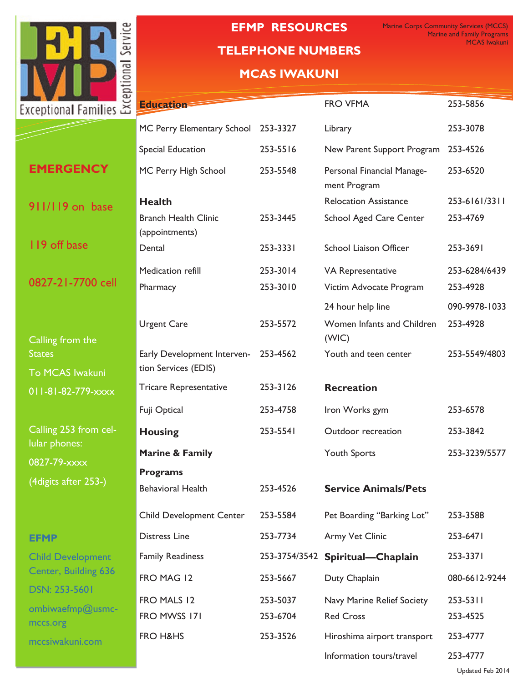

# **NETWORK SYSTEMS DIAGNOSTIC TELEPHONE NUMBERS EFMP RESOURCES**

Marine Corps Community Services (MCCS) Marine and Family Programs MCAS Iwakuni

# **MCAS IWAKUNI**

| Ξ<br>xceptional Families $\breve{\approx}$             | <b>Education</b>                                               |                      | <b>FRO VFMA</b>                                                   | 253-5856                                   |
|--------------------------------------------------------|----------------------------------------------------------------|----------------------|-------------------------------------------------------------------|--------------------------------------------|
|                                                        | MC Perry Elementary School                                     | 253-3327             | Library                                                           | 253-3078                                   |
|                                                        | Special Education                                              | 253-5516             | New Parent Support Program                                        | 253-4526                                   |
| <b>EMERGENCY</b>                                       | MC Perry High School                                           | 253-5548             | Personal Financial Manage-<br>ment Program                        | 253-6520                                   |
| 911/119 on base                                        | <b>Health</b><br><b>Branch Health Clinic</b><br>(appointments) | 253-3445             | <b>Relocation Assistance</b><br><b>School Aged Care Center</b>    | 253-6161/3311<br>253-4769                  |
| 119 off base                                           | Dental                                                         | 253-3331             | <b>School Liaison Officer</b>                                     | 253-3691                                   |
| 0827-21-7700 cell                                      | Medication refill<br>Pharmacy                                  | 253-3014<br>253-3010 | VA Representative<br>Victim Advocate Program<br>24 hour help line | 253-6284/6439<br>253-4928<br>090-9978-1033 |
| Calling from the                                       | <b>Urgent Care</b>                                             | 253-5572             | Women Infants and Children<br>(WIC)                               | 253-4928                                   |
| <b>States</b><br><b>To MCAS Iwakuni</b>                | Early Development Interven-<br>tion Services (EDIS)            | 253-4562             | Youth and teen center                                             | 253-5549/4803                              |
| 011-81-82-779-xxxx                                     | <b>Tricare Representative</b>                                  | 253-3126             | <b>Recreation</b>                                                 |                                            |
|                                                        | Fuji Optical                                                   | 253-4758             | Iron Works gym                                                    | 253-6578                                   |
| Calling 253 from cel-                                  | <b>Housing</b>                                                 | 253-5541             | Outdoor recreation                                                | 253-3842                                   |
| lular phones:<br>0827-79-xxxx<br>(4 digits after 253-) | Marine & Family<br><b>Programs</b>                             |                      | Youth Sports                                                      | 253-3239/5577                              |
|                                                        | <b>Behavioral Health</b>                                       | 253-4526             | <b>Service Animals/Pets</b>                                       |                                            |
|                                                        | <b>Child Development Center</b>                                | 253-5584             | Pet Boarding "Barking Lot"                                        | 253-3588                                   |
| <b>EFMP</b>                                            | <b>Distress Line</b>                                           | 253-7734             | Army Vet Clinic                                                   | 253-6471                                   |
| <b>Child Development</b>                               | <b>Family Readiness</b>                                        | 253-3754/3542        | Spiritual-Chaplain                                                | 253-3371                                   |
| Center, Building 636                                   | FRO MAG 12                                                     | 253-5667             | Duty Chaplain                                                     | 080-6612-9244                              |
| <b>DSN: 253-5601</b><br>ombiwaefmp@usmc-<br>mccs.org   | FRO MALS 12<br>FRO MWSS 171                                    | 253-5037<br>253-6704 | Navy Marine Relief Society<br><b>Red Cross</b>                    | 253-5311<br>253-4525                       |
| mccsiwakuni.com                                        | FRO H&HS                                                       | 253-3526             | Hiroshima airport transport                                       | 253-4777                                   |
|                                                        |                                                                |                      | Information tours/travel                                          | 253-4777                                   |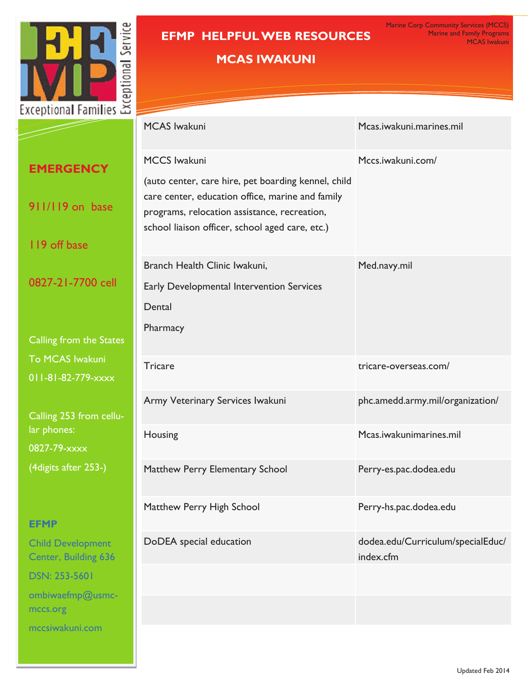

### **EFMP HELPFUL WEB RESOURCES** Network Systems Diagnostic Testing

# **MCAS IWAKUNI**

|                                                  | <b>MCAS Iwakuni</b>                                                                                                                                                                                        | Mcas.iwakuni.marines.mil                       |  |
|--------------------------------------------------|------------------------------------------------------------------------------------------------------------------------------------------------------------------------------------------------------------|------------------------------------------------|--|
| <b>EMERGENCY</b>                                 | <b>MCCS Iwakuni</b>                                                                                                                                                                                        | Mccs.iwakuni.com/                              |  |
| 911/119 on base                                  | (auto center, care hire, pet boarding kennel, child<br>care center, education office, marine and family<br>programs, relocation assistance, recreation,<br>school liaison officer, school aged care, etc.) |                                                |  |
| 119 off base                                     |                                                                                                                                                                                                            |                                                |  |
| 0827-21-7700 cell                                | Branch Health Clinic Iwakuni,<br>Early Developmental Intervention Services<br>Dental<br>Pharmacy                                                                                                           | Med.navy.mil                                   |  |
| Calling from the States                          |                                                                                                                                                                                                            |                                                |  |
| To MCAS Iwakuni<br>011-81-82-779-xxxx            | <b>Tricare</b>                                                                                                                                                                                             | tricare-overseas.com/                          |  |
| Calling 253 from cellu-                          | Army Veterinary Services Iwakuni                                                                                                                                                                           | phc.amedd.army.mil/organization/               |  |
| lar phones:<br>0827-79-xxxx                      | Housing                                                                                                                                                                                                    | Mcas.iwakunimarines.mil                        |  |
| (4 digits after 253-)                            | Matthew Perry Elementary School                                                                                                                                                                            | Perry-es.pac.dodea.edu                         |  |
| <b>EFMP</b>                                      | Matthew Perry High School                                                                                                                                                                                  | Perry-hs.pac.dodea.edu                         |  |
| <b>Child Development</b><br>Center, Building 636 | DoDEA special education                                                                                                                                                                                    | dodea.edu/Curriculum/specialEduc/<br>index.cfm |  |
| <b>DSN: 253-5601</b>                             |                                                                                                                                                                                                            |                                                |  |
| ombiwaefmp@usmc-<br>mccs.org                     |                                                                                                                                                                                                            |                                                |  |
| mccsiwakuni.com                                  |                                                                                                                                                                                                            |                                                |  |

#### Updated Feb 2014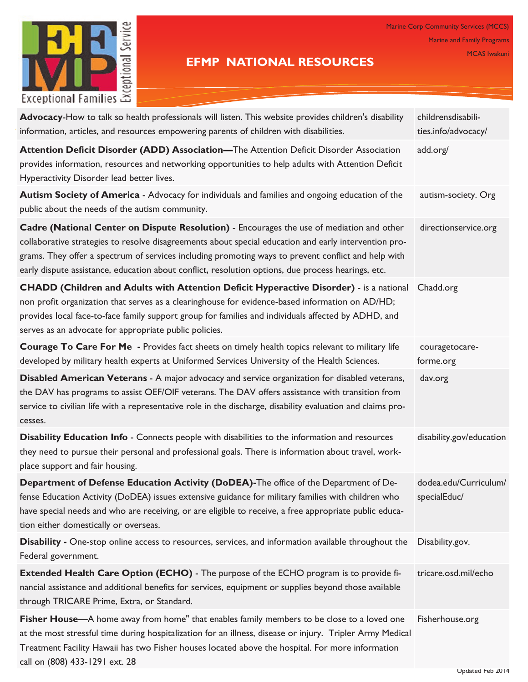

## **EFMP NATIONAL RESOURCES**

Marine Corp Community Services (MCCS) Marine and Family Programs MCAS Iwakuni

| Advocacy-How to talk so health professionals will listen. This website provides children's disability<br>information, articles, and resources empowering parents of children with disabilities.                                                                                                                                                                                                                 | childrensdisabili-<br>ties.info/advocacy/ |
|-----------------------------------------------------------------------------------------------------------------------------------------------------------------------------------------------------------------------------------------------------------------------------------------------------------------------------------------------------------------------------------------------------------------|-------------------------------------------|
| Attention Deficit Disorder (ADD) Association-The Attention Deficit Disorder Association<br>provides information, resources and networking opportunities to help adults with Attention Deficit<br>Hyperactivity Disorder lead better lives.                                                                                                                                                                      | add.org/                                  |
| Autism Society of America - Advocacy for individuals and families and ongoing education of the<br>public about the needs of the autism community.                                                                                                                                                                                                                                                               | autism-society. Org                       |
| Cadre (National Center on Dispute Resolution) - Encourages the use of mediation and other<br>collaborative strategies to resolve disagreements about special education and early intervention pro-<br>grams. They offer a spectrum of services including promoting ways to prevent conflict and help with<br>early dispute assistance, education about conflict, resolution options, due process hearings, etc. | directionservice.org                      |
| <b>CHADD (Children and Adults with Attention Deficit Hyperactive Disorder)</b> - is a national<br>non profit organization that serves as a clearinghouse for evidence-based information on AD/HD;<br>provides local face-to-face family support group for families and individuals affected by ADHD, and<br>serves as an advocate for appropriate public policies.                                              | Chadd.org                                 |
| Courage To Care For Me - Provides fact sheets on timely health topics relevant to military life<br>developed by military health experts at Uniformed Services University of the Health Sciences.                                                                                                                                                                                                                | couragetocare-<br>forme.org               |
| Disabled American Veterans - A major advocacy and service organization for disabled veterans,<br>the DAV has programs to assist OEF/OIF veterans. The DAV offers assistance with transition from<br>service to civilian life with a representative role in the discharge, disability evaluation and claims pro-<br>cesses.                                                                                      | dav.org                                   |
| Disability Education Info - Connects people with disabilities to the information and resources<br>they need to pursue their personal and professional goals. There is information about travel, work-<br>place support and fair housing.                                                                                                                                                                        | disability.gov/education                  |
| Department of Defense Education Activity (DoDEA)-The office of the Department of De-<br>fense Education Activity (DoDEA) issues extensive guidance for military families with children who<br>have special needs and who are receiving, or are eligible to receive, a free appropriate public educa-<br>tion either domestically or overseas.                                                                   | dodea.edu/Curriculum/<br>specialEduc/     |
| <b>Disability</b> - One-stop online access to resources, services, and information available throughout the<br>Federal government.                                                                                                                                                                                                                                                                              | Disability.gov.                           |
| <b>Extended Health Care Option (ECHO)</b> - The purpose of the ECHO program is to provide fi-<br>nancial assistance and additional benefits for services, equipment or supplies beyond those available<br>through TRICARE Prime, Extra, or Standard.                                                                                                                                                            | tricare.osd.mil/echo                      |
| Fisher House—A home away from home" that enables family members to be close to a loved one<br>at the most stressful time during hospitalization for an illness, disease or injury. Tripler Army Medical<br>Treatment Facility Hawaii has two Fisher houses located above the hospital. For more information<br>call on (808) 433-1291 ext. 28                                                                   | Fisherhouse.org                           |

Updated Feb 2014